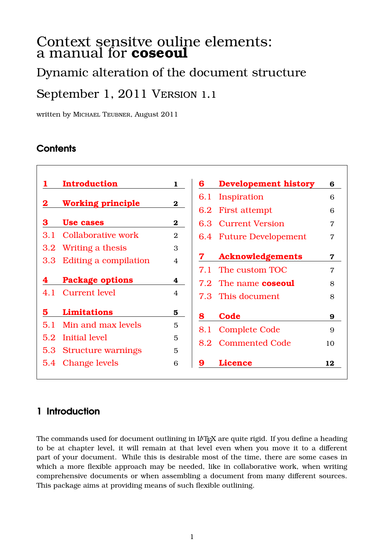# Context sensitve ouline elements: a manual for **coseoul**

# Dynamic alteration of the document structure

# September 1, 2011 Version 1.1

written by Michael Teubner, August 2011

## **Contents**

|                  | <b>Introduction</b>       | $\mathbf{1}$   | 6   | <b>Developement history</b> | 6                |
|------------------|---------------------------|----------------|-----|-----------------------------|------------------|
| $\bf{2}$         |                           |                | 6.1 | Inspiration                 | 6                |
|                  | <b>Working principle</b>  | $\bf{2}$       | 6.2 | <b>First attempt</b>        | 6                |
| 3                | <b>Use cases</b>          | $\bf{2}$       |     | 6.3 Current Version         | $\overline{7}$   |
| 3 I              | <b>Collaborative work</b> | $\overline{2}$ |     | 6.4 Future Developement     | $\overline{7}$   |
| 3.2 <sub>2</sub> | Writing a thesis          | 3              |     |                             |                  |
| 3.3 <sub>l</sub> | Editing a compilation     | $\overline{4}$ |     | <b>Acknowledgements</b>     | 7                |
|                  |                           |                |     | 7.1 The custom TOC          | $\overline{7}$   |
| 4                | <b>Package options</b>    | 4              |     | 7.2 The name coseoul        | 8                |
| 4.1              | <b>Current level</b>      | 4              |     | 7.3 This document           | 8                |
| 5                | <b>Limitations</b>        | 5              | 8   | Code                        | $\boldsymbol{9}$ |
| 5.1              | Min and max levels        | 5              | 8.1 | <b>Complete Code</b>        | 9                |
| 5.2              | Initial level             | 5              |     |                             |                  |
|                  | 5.3 Structure warnings    | 5              | 8.2 | <b>Commented Code</b>       | 10               |
|                  | 5.4 Change levels         | 6              | 9   | <b>Licence</b>              | 12               |

# <span id="page-0-0"></span>**1 Introduction**

The commands used for document outlining in LAT<sub>EX</sub> are quite rigid. If you define a heading to be at chapter level, it will remain at that level even when you move it to a different part of your document. While this is desirable most of the time, there are some cases in which a more flexible approach may be needed, like in collaborative work, when writing comprehensive documents or when assembling a document from many different sources. This package aims at providing means of such flexible outlining.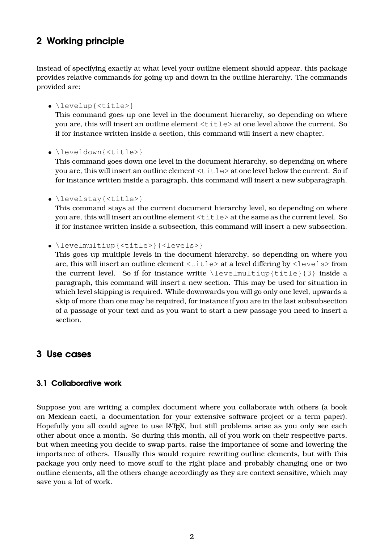### <span id="page-1-0"></span>**2 Working principle**

Instead of specifying exactly at what level your outline element should appear, this package provides relative commands for going up and down in the outline hierarchy. The commands provided are:

• \levelup{<title>}

This command goes up one level in the document hierarchy, so depending on where you are, this will insert an outline element <title> at one level above the current. So if for instance written inside a section, this command will insert a new chapter.

• \leveldown{<title>}

This command goes down one level in the document hierarchy, so depending on where you are, this will insert an outline element  $\langle \text{title} \rangle$  at one level below the current. So if for instance written inside a paragraph, this command will insert a new subparagraph.

• \levelstay{<title>}

This command stays at the current document hierarchy level, so depending on where you are, this will insert an outline element  $\langle \text{title} \rangle$  at the same as the current level. So if for instance written inside a subsection, this command will insert a new subsection.

• \levelmultiup{<title>}{<levels>}

This goes up multiple levels in the document hierarchy, so depending on where you are, this will insert an outline element <title> at a level differing by <levels> from the current level. So if for instance writte  $\leq \leq \leq \frac{1}{\sqrt{3}}$  inside a paragraph, this command will insert a new section. This may be used for situation in which level skipping is required. While downwards you will go only one level, upwards a skip of more than one may be required, for instance if you are in the last subsubsection of a passage of your text and as you want to start a new passage you need to insert a section.

### <span id="page-1-1"></span>**3 Use cases**

#### <span id="page-1-2"></span>**3.1 Collaborative work**

Suppose you are writing a complex document where you collaborate with others (a book on Mexican cacti, a documentation for your extensive software project or a term paper). Hopefully you all could agree to use  $\mathbb{A}T_FX$ , but still problems arise as you only see each other about once a month. So during this month, all of you work on their respective parts, but when meeting you decide to swap parts, raise the importance of some and lowering the importance of others. Usually this would require rewriting outline elements, but with this package you only need to move stuff to the right place and probably changing one or two outline elements, all the others change accordingly as they are context sensitive, which may save you a lot of work.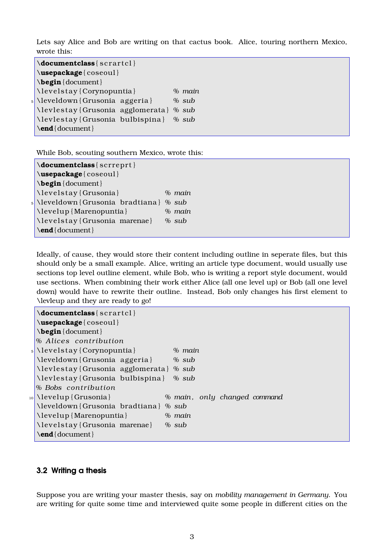Lets say Alice and Bob are writing on that cactus book. Alice, touring northern Mexico, wrote this:

```
\delta \delta \documentclass \{ \, \text{scrart} \}\usepackage { coseoul }
\begin { document }
\ l e v e l s t a y { Corynopuntia } % main
5 \leveldown { Grusonia agger ia } % sub
\ l e v l e s t a y { Grusonia agglomerata } % sub
\ l e v l e s t a y { Grusonia bulbispina } % sub
\end{ document }
```
While Bob, scouting southern Mexico, wrote this:

\documentclass { scrreprt } \**usepackage** { coseoul } \**begin** { document } \ l e v e l s t a y { Grusonia } *% main* <sup>5</sup> \leveldown { Grusonia bradtiana } *% sub* \ leve lup { Marenopuntia } *% main* \ l e v e l s t a y { Grusonia marenae } *% sub* \**end**{ document }

Ideally, of cause, they would store their content including outline in seperate files, but this should only be a small example. Alice, writing an article type document, would usually use sections top level outline element, while Bob, who is writing a report style document, would use sections. When combining their work either Alice (all one level up) or Bob (all one level down) would have to rewrite their outline. Instead, Bob only changes his first element to \levleup and they are ready to go!

```
\{documentclass\} scrartel
 \usepackage { coseoul }
 \begin { document }
 % Alices contribution
 5 \ l e v e l s t a y { Corynopuntia } % main
 \leveldown { Grusonia agger ia } % sub
  \ l e v l e s t a y { Grusonia agglomerata } % sub
 \ l e v l e s t a y { Grusonia bulbispina } % sub
 % Bobs c on t ribu ti on
10 \ leve lup { Grusonia } % main , only changed command
  \leveldown { Grusonia bradtiana } % sub
  \ leve lup { Marenopuntia } % main
  \ l e v e l s t a y { Grusonia marenae } % sub
  \end{ document }
```
#### <span id="page-2-0"></span>**3.2 Writing a thesis**

Suppose you are writing your master thesis, say on *mobility management in Germany*. You are writing for quite some time and interviewed quite some people in different cities on the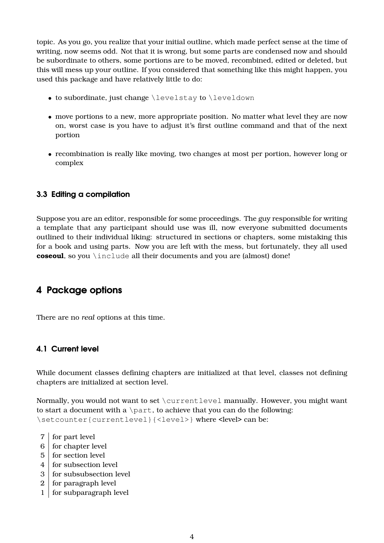topic. As you go, you realize that your initial outline, which made perfect sense at the time of writing, now seems odd. Not that it is wrong, but some parts are condensed now and should be subordinate to others, some portions are to be moved, recombined, edited or deleted, but this will mess up your outline. If you considered that something like this might happen, you used this package and have relatively little to do:

- to subordinate, just change \levelstay to \leveldown
- move portions to a new, more appropriate position. No matter what level they are now on, worst case is you have to adjust it's first outline command and that of the next portion
- recombination is really like moving, two changes at most per portion, however long or complex

#### <span id="page-3-0"></span>**3.3 Editing a compilation**

Suppose you are an editor, responsible for some proceedings. The guy responsible for writing a template that any participant should use was ill, now everyone submitted documents outlined to their individual liking: structured in sections or chapters, some mistaking this for a book and using parts. Now you are left with the mess, but fortunately, they all used **coseoul**, so you \include all their documents and you are (almost) done!

## <span id="page-3-1"></span>**4 Package options**

There are no *real* options at this time.

#### <span id="page-3-2"></span>**4.1 Current level**

While document classes defining chapters are initialized at that level, classes not defining chapters are initialized at section level.

Normally, you would not want to set \currentlevel manually. However, you might want to start a document with a  $\part$ , to achieve that you can do the following: \setcounter{currentlevel}{<level>} where <level> can be:

- 7 for part level
- $6 \mid$  for chapter level
- 5 for section level
- 4 for subsection level
- 3 for subsubsection level
- 2 for paragraph level
- 1 for subparagraph level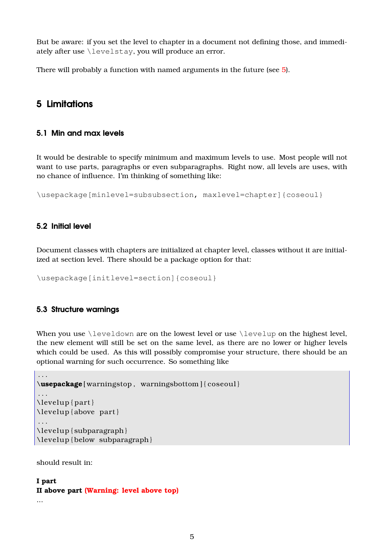But be aware: if you set the level to chapter in a document not defining those, and immediately after use \levelstay, you will produce an error.

There will probably a function with named arguments in the future (see [5\)](#page-4-0).

### <span id="page-4-0"></span>**5 Limitations**

#### <span id="page-4-1"></span>**5.1 Min and max levels**

It would be desirable to specify minimum and maximum levels to use. Most people will not want to use parts, paragraphs or even subparagraphs. Right now, all levels are uses, with no chance of influence. I'm thinking of something like:

\usepackage[minlevel=subsubsection, maxlevel=chapter]{coseoul}

#### <span id="page-4-2"></span>**5.2 Initial level**

Document classes with chapters are initialized at chapter level, classes without it are initialized at section level. There should be a package option for that:

\usepackage[initlevel=section]{coseoul}

#### <span id="page-4-3"></span>**5.3 Structure warnings**

When you use \leveldown are on the lowest level or use \levelup on the highest level, the new element will still be set on the same level, as there are no lower or higher levels which could be used. As this will possibly compromise your structure, there should be an optional warning for such occurrence. So something like

```
. . .
\usepackage [ warningstop , warningsbottom ] { coseoul }
. . .
\text{levelup} \{ part \}\ leve lup { above part }
. . .
\ leve lup { subparagraph }
\ leve lup { below subparagraph }
```
should result in:

### **I part II above part (Warning: level above top)**

...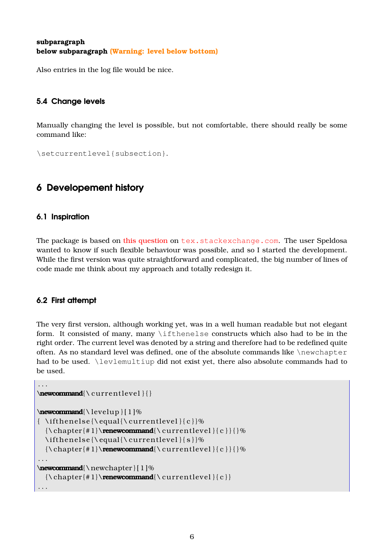#### **subparagraph below subparagraph (Warning: level below bottom)**

Also entries in the log file would be nice.

#### <span id="page-5-0"></span>**5.4 Change levels**

Manually changing the level is possible, but not comfortable, there should really be some command like:

```
\setcurrentlevel{subsection}.
```
## <span id="page-5-1"></span>**6 Developement history**

#### <span id="page-5-2"></span>**6.1 Inspiration**

The package is based on [this question](http://tex.stackexchange.com/questions/26181/create-context-sensitive-headings/) on <tex.stackexchange.com>. The user Speldosa wanted to know if such flexible behaviour was possible, and so I started the development. While the first version was quite straightforward and complicated, the big number of lines of code made me think about my approach and totally redesign it.

#### <span id="page-5-3"></span>**6.2 First attempt**

The very first version, although working yet, was in a well human readable but not elegant form. It consisted of many, many \ifthenelse constructs which also had to be in the right order. The current level was denoted by a string and therefore had to be redefined quite often. As no standard level was defined, one of the absolute commands like \newchapter had to be used. \levlemultiup did not exist yet, there also absolute commands had to be used.

```
. . .
\text{newcommand}{}_{\curlyvee\!
\newcommand{\ leve lup } [ 1 ]%
{\ \{ \ \} {\} \{\ \chap{t#1}\ \renewcommand{\ \curlyeqright} \cup \ \chap{e}}{\ \chap{e}}\{ \t{ \equal} {\ \current{ \} } \{\ \ch{#1}\ \renewcommand{\ \curlyvee\ \curlyvee\ \breve{\} \} } {\}. . .
\newcommand{\ newchapter } [ 1 ]%
  {\ \chap{t#1}\ \<b>renewcommand</b>{} \ <b>currentlevel</b>{} \ <b>c</b>}. . .
```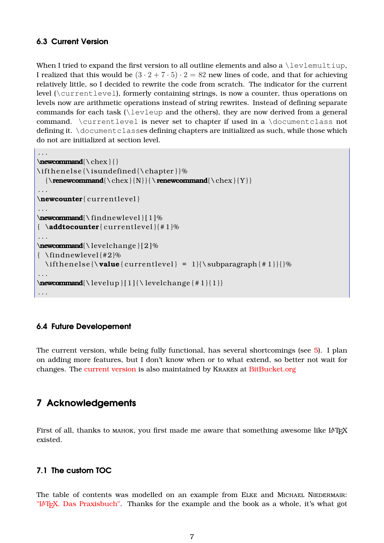#### <span id="page-6-0"></span>**6.3 Current Version**

When I tried to expand the first version to all outline elements and also a  $\leq$  levlemultiup, I realized that this would be  $(3 \cdot 2 + 7 \cdot 5) \cdot 2 = 82$  new lines of code, and that for achieving relatively little, so I decided to rewrite the code from scratch. The indicator for the current level (\currentlevel), formerly containing strings, is now a counter, thus operations on levels now are arithmetic operations instead of string rewrites. Instead of defining separate commands for each task ( $\leq$ evleup and the others), they are now derived from a general command. \currentlevel is never set to chapter if used in a \documentclass not defining it. \documentclasses defining chapters are initialized as such, while those which do not are initialized at section level.

```
. . .
\newcommand{\ chex } { }
\ifthenelse{\isundefined{\chapter}}%
  {\renewcommand{\ chex } { N} } { \renewcommand{\ chex } { Y } }
. . .
\newcounter{ current level }
. . .
\newcommand{\ f indnew leve l } [ 1 ]%
\{ \lambda \text{addtocounter}\{\text{currentlevel}\}\{\#1\}\%. . .
\newcommand{\ leve lchange } [ 2 ]%
{ \ f indnew leve l {#2}%
  \if the nelse {\value { current level } = 1 } {\subparagraph { # 1 } } {} %
. . .
\text{rewcommand}{\leq\text{sup}}[1] { \ levelchange {#1}{1}}
. . .
```
#### <span id="page-6-1"></span>**6.4 Future Developement**

The current version, while being fully functional, has several shortcomings (see [5\)](#page-4-0). I plan on adding more features, but I don't know when or to what extend, so better not wait for changes. The [current version](https://bitbucket.org/Kraken/coseoul/overview) is also maintained by Kraken at [BitBucket.org](https://bitbucket.org/)

### <span id="page-6-2"></span>**7 Acknowledgements**

First of all, thanks to MAHOK, you first made me aware that something awesome like  $L^4T_FX$ existed.

#### <span id="page-6-3"></span>**7.1 The custom TOC**

The table of contents was modelled on an example from ELKE and MICHAEL NIEDERMAIR: "LAT<sub>EX</sub>. Das Praxisbuch". Thanks for the example and the book as a whole, it's what got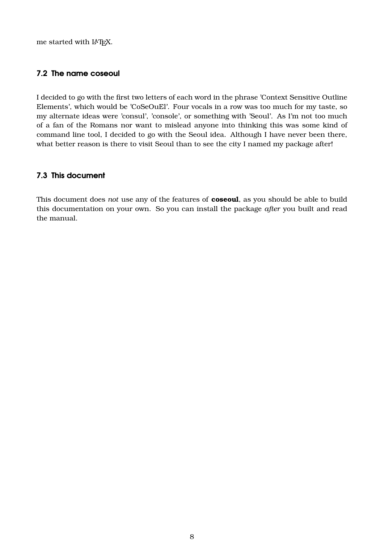me started with LATFX.

#### <span id="page-7-0"></span>**7.2 The name coseoul**

I decided to go with the first two letters of each word in the phrase 'Context Sensitive Outline Elements', which would be 'CoSeOuEl'. Four vocals in a row was too much for my taste, so my alternate ideas were 'consul', 'console', or something with 'Seoul'. As I'm not too much of a fan of the Romans nor want to mislead anyone into thinking this was some kind of command line tool, I decided to go with the Seoul idea. Although I have never been there, what better reason is there to visit Seoul than to see the city I named my package after!

#### <span id="page-7-1"></span>**7.3 This document**

This document does *not* use any of the features of **coseoul**, as you should be able to build this documentation on your own. So you can install the package *after* you built and read the manual.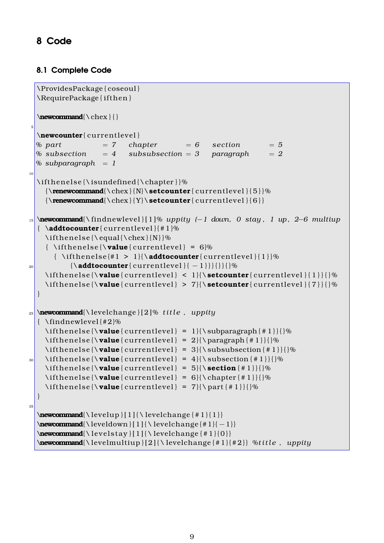# <span id="page-8-0"></span>**8 Code**

### <span id="page-8-1"></span>**8.1 Complete Code**

```
\ProvidesPackage { coseoul }
  \RequirePackage { i f th en }
  \newcommand{\ chex } { }
5
  \newcounter{ current level }
  % part = 7 chapter = 6 section = 5% subsection = 4 subsubsection = 3 paragraph = 2% subparagraph = 1
1<sup>c</sup>\if the nelse {\isundefined {\chapter}}%
    {\text{^\}_{\text{curvature}}{\text{current-level}} {\bf 6}15 \newcommand{\ f indnew leve l } [ 1 ]% uppity (−1 down, 0 stay , 1 up , 2−6 multiup
  \{ \lambda \text{addtocounter}\{\text{currentlevel}\}\{\#1\}\%\left\{ \t{ \cdot \text{chex} \} \{\text{ \{ \} \times \} = 6\}}{\ \{ \ \{ \ \{ \ \} \} \}}\20 {\lambda} {\lambdaaddtocounter { current level } { - 1 } } { } } { } %
    \if the nelse {\value { current level } < 1 } {\setcounter { current level } { 1 } } { } %
    \if the nelse {\value { current level } > 7}{\setcounter { current level } { 7 } } { } %
  }
_{25} \newcommand{\ levelchange } [2]% title, uppity
  \{ \ \{ \| \\if the nelse {\value { current level } = 1 } {\subparagraph { # 1 } } {} %
    \if the nelse {\value { current level } = 2}{\paragraph {#1}} {}%
    \if the nelse {\value { current level } = 3}{ \ subsubsection { \# 1 } } { } %
\text{30} \if thenelse { \value { current level } = 4}{ \ subsection { # 1 } } { } %
    \if the nelse {\value { current level } = 5}{\section {#1}} {}%
    \left\{ \mathbf{v}\right\} = 6}{\label{c:1} \left\{ \mathbf{w}\right\} = 6}{\label{d:1}}
    \if thenelse {\varphi current level } = 7}{\part {#1}} {}%
  }
35
  \text{rewcommand}{\leq\text{sup}}[1] { \ levelchange {#1}{1}}
  \newcommand{\ leveldown } [ 1 ] { \ leve lchange {#1}{ −1}}
  \text{rewcommand}{\leq\text{v}}[1](\text{level} \text{range} { # 1 }{0})\newcommand{\ leve lmu lt iup } [ 2 ] { \ leve lchange { # 1 } { # 2 } } %t i t l e , uppity
```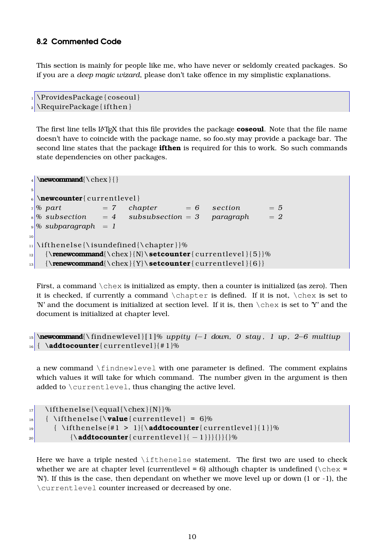#### <span id="page-9-0"></span>**8.2 Commented Code**

This section is mainly for people like me, who have never or seldomly created packages. So if you are a *deep magic wizard*, please don't take offence in my simplistic explanations.

```
1 \ProvidesPackage { coseoul }
\RequirePackage { if then }
```
The first line tells LAT<sub>EX</sub> that this file provides the package **coseoul**. Note that the file name doesn't have to coincide with the package name, so foo.sty may provide a package bar. The second line states that the package **ifthen** is required for this to work. So such commands state dependencies on other packages.

```
_4 \newcommand{\chex}{}
5
6 \newcounter { current level }
7\% part = 7 chapter = 6 section = 5
 % subsection = 4 subsubsection = 3 paragraph = 2\frac{9}{2} subparagraph = 1
10
\frac{1}{\theta} \ if the nelse {\isundefined {\chapter } } %
12 {\renewcommand{\chex}{N}\setcounter{ current level } {5}}%
_{13} {\renewcommand{\chex}{Y}\setcounter{ current level } { 6 } }
```
First, a command  $\text{check}$  is initialized as empty, then a counter is initialized (as zero). Then it is checked, if currently a command  $\Lambda$  chapter is defined. If it is not,  $\lambda$  is set to 'N' and the document is initialized at section level. If it is, then  $\text{deg}$  is set to 'Y' and the document is initialized at chapter level.

```
15 \newcommand{\ f indnew leve l } [ 1 ]% uppity (−1 down, 0 stay , 1 up , 2−6 multiup
_{16} { \addtocounter { current level } { # 1 }%
```
a new command \findnewlevel with one parameter is defined. The comment explains which values it will take for which command. The number given in the argument is then added to \currentlevel, thus changing the active level.

```
_{17} \ if thenelse {\ equal {\chex } {N } } %
_{18} { \ifthenelse {\value { current level } = 6}%
\frac{19}{10} { \ifthenelse {#1 > 1}{\addtocounter { current level } { 1 } }%
20 \{\{\mathbf{addtocouter}\{\text{currentlevel}\}\{-1\}\}\{\}\}\
```
Here we have a triple nested  $\iota$  if thenelse statement. The first two are used to check whether we are at chapter level (currentlevel = 6) although chapter is undefined ( $\text{chex}$  = 'N'). If this is the case, then dependant on whether we move level up or down (1 or -1), the \currentlevel counter increased or decreased by one.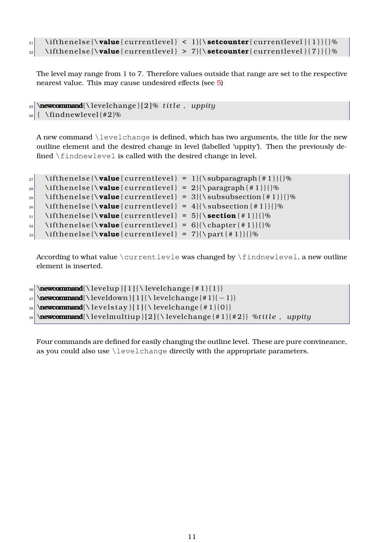```
_{21} \ifthenelse{\value{ currentlevel} < 1}{\setcounter { currentlevel } { 1 } } { } %
|z_2| \ifthenelse{\value{ currentlevel} > 7}{\setcounter{ currentlevel } { 7 } } { } %
```
The level may range from 1 to 7. Therefore values outside that range are set to the respective nearest value. This may cause undesired effects (see [5\)](#page-4-0)

```
_{25} \newcommand{\levelchange} [2]\% title, uppity
26 { \ f indnew leve l {#2}%
```
A new command \levelchange is defined, which has two arguments, the title for the new outline element and the desired change in level (labelled 'uppity'). Then the previously defined \findnewlevel is called with the desired change in level.

```
|27| \if thenelse {\value} { current level } = 1 } {\subparagraph { # 1 } } { } %
\text{28} \ifthenelse{\value{ currentlevel} = 2}{\paragraph {#1}}{}%
_{29} \if the nelse { \value { current level } = 3}{ \ subsubsection { \# 1 } } { } %
\text{30} \if thenelse { \value { current level } = 4}{ \ subsection { # 1 } } { } %
31 \if thenelse {\value { current level } = 5}{\section { # 1 } } {}%
32 \if thenelse {\value { current level } = 6}{\chapter {#1}}}
33 \if thenelse {\value { current level } = 7}{\part {#1}} {}%
```
According to what value \currentlevle was changed by \findnewlevel, a new outline element is inserted.

```
_{36} \newcommand{\levelup } [1] {\levelchange {#1}{1}}
37 \text{ <b>newcommand</b>{} {\text{1}} {\text{| 1}} \text{ } \text{| 2}} \\mathbb{R} \newcommand{\ levelstay } [ 1 ] { \ levelchange { # 1 } { 0 } }
39 \newcommand{\ leve lmu lt iup } [ 2 ] { \ leve lchange { # 1 } { # 2 } } %t i t l e , uppity
```
Four commands are defined for easily changing the outline level. These are pure convineance, as you could also use \levelchange directly with the appropriate parameters.